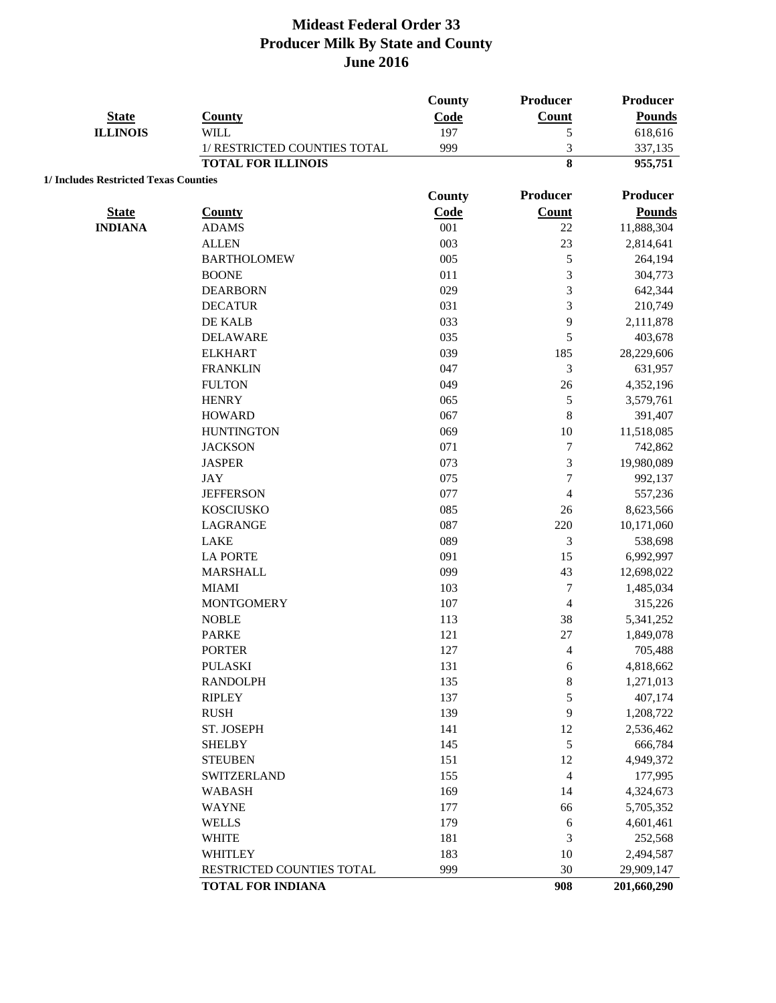|                                       |                              | County | Producer         | Producer      |
|---------------------------------------|------------------------------|--------|------------------|---------------|
| <b>State</b>                          | <b>County</b>                | Code   | <b>Count</b>     | <b>Pounds</b> |
| <b>ILLINOIS</b>                       | <b>WILL</b>                  | 197    | 5                | 618,616       |
|                                       | 1/ RESTRICTED COUNTIES TOTAL | 999    | 3                | 337,135       |
|                                       | <b>TOTAL FOR ILLINOIS</b>    |        | 8                | 955,751       |
| 1/ Includes Restricted Texas Counties |                              |        |                  |               |
|                                       |                              | County | Producer         | Producer      |
| <b>State</b>                          | <b>County</b>                | Code   | Count            | <b>Pounds</b> |
| <b>INDIANA</b>                        | <b>ADAMS</b>                 | 001    | 22               | 11,888,304    |
|                                       | <b>ALLEN</b>                 | 003    | 23               | 2,814,641     |
|                                       | <b>BARTHOLOMEW</b>           | 005    | 5                | 264,194       |
|                                       | <b>BOONE</b>                 | 011    | 3                | 304,773       |
|                                       | <b>DEARBORN</b>              | 029    | 3                | 642,344       |
|                                       | <b>DECATUR</b>               | 031    | 3                | 210,749       |
|                                       | DE KALB                      | 033    | 9                | 2,111,878     |
|                                       | <b>DELAWARE</b>              | 035    | 5                | 403,678       |
|                                       | <b>ELKHART</b>               | 039    | 185              | 28,229,606    |
|                                       | <b>FRANKLIN</b>              | 047    | $\mathfrak{Z}$   | 631,957       |
|                                       | <b>FULTON</b>                | 049    | 26               | 4,352,196     |
|                                       | <b>HENRY</b>                 | 065    | $\sqrt{5}$       | 3,579,761     |
|                                       | <b>HOWARD</b>                | 067    | $\,8\,$          | 391,407       |
|                                       | <b>HUNTINGTON</b>            | 069    | 10               | 11,518,085    |
|                                       | <b>JACKSON</b>               | 071    | $\tau$           | 742,862       |
|                                       | <b>JASPER</b>                | 073    | $\mathfrak{Z}$   | 19,980,089    |
|                                       | <b>JAY</b>                   | 075    | $\overline{7}$   | 992,137       |
|                                       | <b>JEFFERSON</b>             | 077    | $\overline{4}$   | 557,236       |
|                                       | <b>KOSCIUSKO</b>             | 085    | 26               | 8,623,566     |
|                                       | LAGRANGE                     | 087    | 220              | 10,171,060    |
|                                       | <b>LAKE</b>                  | 089    | 3                | 538,698       |
|                                       | <b>LA PORTE</b>              | 091    | 15               | 6,992,997     |
|                                       | <b>MARSHALL</b>              | 099    | 43               | 12,698,022    |
|                                       | <b>MIAMI</b>                 | 103    | $\boldsymbol{7}$ | 1,485,034     |
|                                       | <b>MONTGOMERY</b>            | 107    | 4                | 315,226       |
|                                       | <b>NOBLE</b>                 | 113    | 38               | 5,341,252     |
|                                       | <b>PARKE</b>                 | 121    | $27\,$           | 1,849,078     |
|                                       | <b>PORTER</b>                | 127    | 4                | 705,488       |
|                                       | <b>PULASKI</b>               | 131    | 6                | 4,818,662     |
|                                       | <b>RANDOLPH</b>              | 135    | $\,$ 8 $\,$      | 1,271,013     |
|                                       | <b>RIPLEY</b>                | 137    | 5                | 407,174       |
|                                       | <b>RUSH</b>                  | 139    | 9                | 1,208,722     |
|                                       | ST. JOSEPH                   | 141    | 12               | 2,536,462     |
|                                       | <b>SHELBY</b>                | 145    | $\sqrt{5}$       | 666,784       |
|                                       | <b>STEUBEN</b>               | 151    | 12               | 4,949,372     |
|                                       | SWITZERLAND                  | 155    | $\overline{4}$   | 177,995       |
|                                       | <b>WABASH</b>                | 169    | 14               | 4,324,673     |
|                                       | <b>WAYNE</b>                 | 177    | 66               | 5,705,352     |
|                                       | <b>WELLS</b>                 | 179    | 6                | 4,601,461     |
|                                       | <b>WHITE</b>                 | 181    | 3                | 252,568       |
|                                       | <b>WHITLEY</b>               | 183    | 10               | 2,494,587     |
|                                       | RESTRICTED COUNTIES TOTAL    | 999    | 30               | 29,909,147    |
|                                       | <b>TOTAL FOR INDIANA</b>     |        | 908              | 201,660,290   |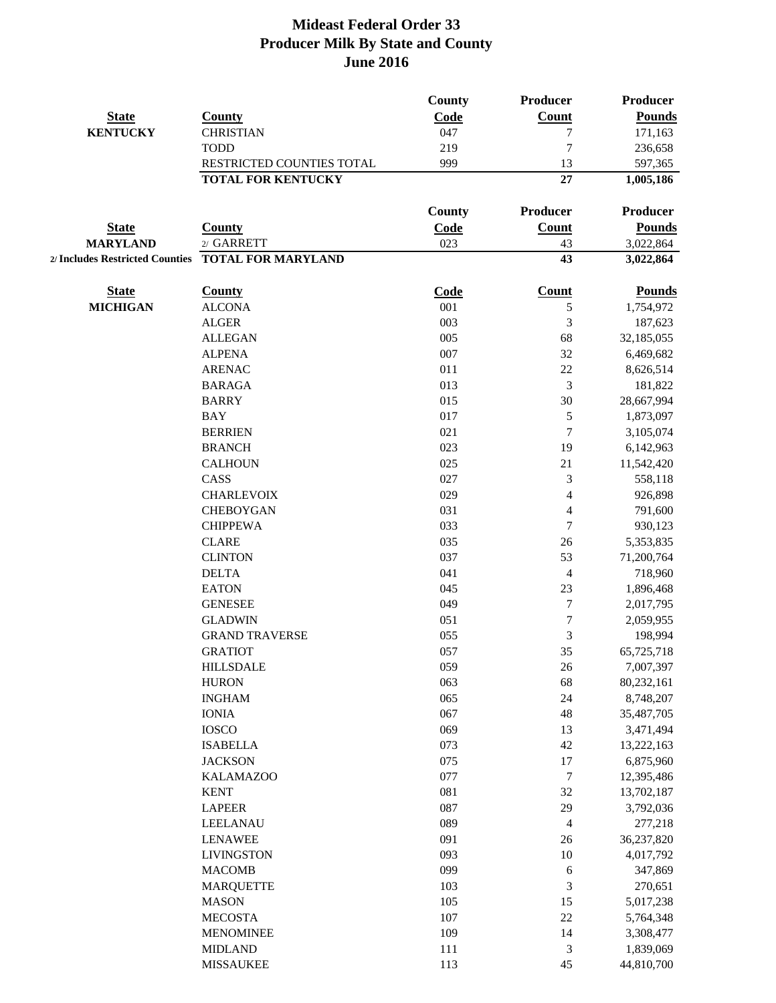|                 |                                                     | <b>County</b> | Producer         | <b>Producer</b> |
|-----------------|-----------------------------------------------------|---------------|------------------|-----------------|
| <b>State</b>    | <b>County</b>                                       | Code          | <b>Count</b>     | <b>Pounds</b>   |
| <b>KENTUCKY</b> | <b>CHRISTIAN</b>                                    | 047           | 7                | 171,163         |
|                 | <b>TODD</b>                                         | 219           | $\overline{7}$   | 236,658         |
|                 | RESTRICTED COUNTIES TOTAL                           | 999           | 13               | 597,365         |
|                 | <b>TOTAL FOR KENTUCKY</b>                           |               | 27               | 1,005,186       |
|                 |                                                     | <b>County</b> | Producer         | <b>Producer</b> |
| <b>State</b>    | <b>County</b>                                       | Code          | Count            | <b>Pounds</b>   |
| <b>MARYLAND</b> | 2/ GARRETT                                          | 023           | 43               | 3,022,864       |
|                 | 2/ Includes Restricted Counties  TOTAL FOR MARYLAND |               | 43               | 3,022,864       |
| <b>State</b>    | <b>County</b>                                       | Code          | <b>Count</b>     | <b>Pounds</b>   |
| <b>MICHIGAN</b> | <b>ALCONA</b>                                       | 001           | 5                | 1,754,972       |
|                 | <b>ALGER</b>                                        | 003           | 3                | 187,623         |
|                 | <b>ALLEGAN</b>                                      | 005           | 68               | 32,185,055      |
|                 | <b>ALPENA</b>                                       | 007           | 32               | 6,469,682       |
|                 | <b>ARENAC</b>                                       | 011           | 22               | 8,626,514       |
|                 | <b>BARAGA</b>                                       | 013           | 3                | 181,822         |
|                 | <b>BARRY</b>                                        | 015           | 30               | 28,667,994      |
|                 | <b>BAY</b>                                          | 017           | $\mathfrak s$    | 1,873,097       |
|                 | <b>BERRIEN</b>                                      | 021           | $\tau$           | 3,105,074       |
|                 | <b>BRANCH</b>                                       | 023           | 19               | 6,142,963       |
|                 | <b>CALHOUN</b>                                      | 025           | 21               | 11,542,420      |
|                 | CASS                                                | 027           | 3                | 558,118         |
|                 | <b>CHARLEVOIX</b>                                   | 029           | $\overline{4}$   | 926,898         |
|                 | <b>CHEBOYGAN</b>                                    | 031           | $\overline{4}$   | 791,600         |
|                 | <b>CHIPPEWA</b>                                     | 033           | $\overline{7}$   | 930,123         |
|                 | <b>CLARE</b>                                        | 035           | 26               | 5,353,835       |
|                 | <b>CLINTON</b>                                      | 037           | 53               | 71,200,764      |
|                 | <b>DELTA</b>                                        | 041           | $\overline{4}$   | 718,960         |
|                 | <b>EATON</b>                                        | 045           | 23               | 1,896,468       |
|                 | <b>GENESEE</b>                                      | 049           | $\boldsymbol{7}$ | 2,017,795       |
|                 | <b>GLADWIN</b>                                      | 051           | $\tau$           | 2,059,955       |
|                 | <b>GRAND TRAVERSE</b>                               | 055           | 3                | 198,994         |
|                 | <b>GRATIOT</b>                                      | 057           | 35               | 65,725,718      |
|                 | <b>HILLSDALE</b>                                    | 059           | 26               | 7,007,397       |
|                 | <b>HURON</b>                                        | 063           | 68               | 80,232,161      |
|                 | <b>INGHAM</b>                                       | 065           | 24               | 8,748,207       |
|                 | <b>IONIA</b>                                        | 067           | 48               | 35,487,705      |
|                 | <b>IOSCO</b>                                        | 069           | 13               | 3,471,494       |
|                 | <b>ISABELLA</b>                                     | 073           | 42               | 13,222,163      |
|                 | <b>JACKSON</b>                                      | 075           | 17               | 6,875,960       |
|                 | <b>KALAMAZOO</b>                                    | 077           | $\boldsymbol{7}$ | 12,395,486      |
|                 | <b>KENT</b>                                         | 081           | 32               | 13,702,187      |
|                 |                                                     | 087           | 29               |                 |
|                 | <b>LAPEER</b>                                       |               |                  | 3,792,036       |
|                 | LEELANAU                                            | 089           | $\overline{4}$   | 277,218         |
|                 | <b>LENAWEE</b>                                      | 091           | $26\,$           | 36,237,820      |
|                 | <b>LIVINGSTON</b>                                   | 093           | 10               | 4,017,792       |
|                 | <b>MACOMB</b>                                       | 099           | 6                | 347,869         |
|                 | <b>MARQUETTE</b>                                    | 103           | $\mathfrak{Z}$   | 270,651         |
|                 | <b>MASON</b>                                        | 105           | 15               | 5,017,238       |
|                 | <b>MECOSTA</b>                                      | 107           | $22\,$           | 5,764,348       |
|                 | <b>MENOMINEE</b>                                    | 109           | 14               | 3,308,477       |
|                 | <b>MIDLAND</b>                                      | 111           | 3                | 1,839,069       |
|                 | <b>MISSAUKEE</b>                                    | 113           | 45               | 44,810,700      |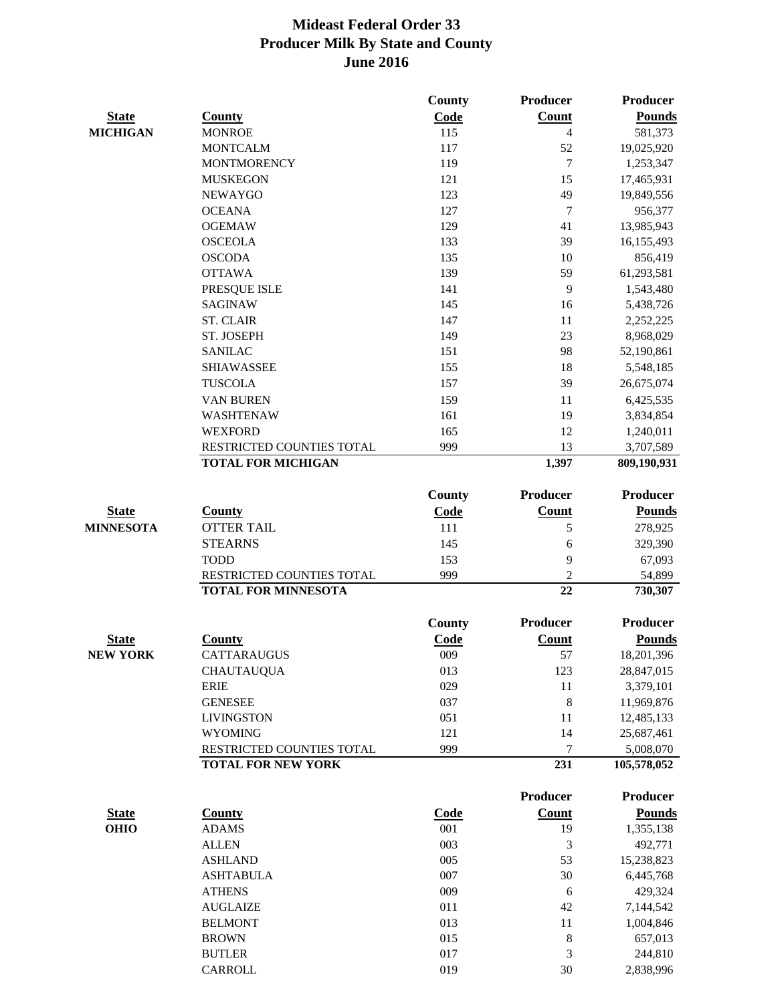|                  |                            | <b>County</b> | Producer       | Producer          |
|------------------|----------------------------|---------------|----------------|-------------------|
| <b>State</b>     | <b>County</b>              | Code          | Count          | <b>Pounds</b>     |
| <b>MICHIGAN</b>  | <b>MONROE</b>              | 115           | $\overline{4}$ | 581,373           |
|                  | <b>MONTCALM</b>            | 117           | 52             | 19,025,920        |
|                  | <b>MONTMORENCY</b>         | 119           | $\tau$         | 1,253,347         |
|                  | <b>MUSKEGON</b>            | 121           | 15             | 17,465,931        |
|                  | <b>NEWAYGO</b>             | 123           | 49             | 19,849,556        |
|                  | <b>OCEANA</b>              | 127           | $\overline{7}$ | 956,377           |
|                  | <b>OGEMAW</b>              | 129           | 41             | 13,985,943        |
|                  | <b>OSCEOLA</b>             | 133           | 39             | 16,155,493        |
|                  | <b>OSCODA</b>              | 135           | 10             | 856,419           |
|                  | <b>OTTAWA</b>              | 139           | 59             | 61,293,581        |
|                  | PRESQUE ISLE               | 141           | 9              | 1,543,480         |
|                  | <b>SAGINAW</b>             | 145           | 16             | 5,438,726         |
|                  | <b>ST. CLAIR</b>           | 147           | 11             | 2,252,225         |
|                  | ST. JOSEPH                 | 149           | 23             | 8,968,029         |
|                  | <b>SANILAC</b>             | 151           | 98             | 52,190,861        |
|                  | <b>SHIAWASSEE</b>          | 155           | 18             | 5,548,185         |
|                  | <b>TUSCOLA</b>             | 157           | 39             | 26,675,074        |
|                  | <b>VAN BUREN</b>           | 159           | 11             | 6,425,535         |
|                  | <b>WASHTENAW</b>           | 161           | 19             | 3,834,854         |
|                  | <b>WEXFORD</b>             | 165           | 12             | 1,240,011         |
|                  | RESTRICTED COUNTIES TOTAL  | 999           | 13             | 3,707,589         |
|                  | <b>TOTAL FOR MICHIGAN</b>  |               | 1,397          | 809,190,931       |
|                  |                            | County        | Producer       | <b>Producer</b>   |
| <b>State</b>     | <b>County</b>              | Code          | Count          | <b>Pounds</b>     |
| <b>MINNESOTA</b> | <b>OTTER TAIL</b>          | 111           | 5              | 278,925           |
|                  | <b>STEARNS</b>             | 145           | 6              | 329,390           |
|                  | <b>TODD</b>                | 153           | 9              | 67,093            |
|                  | RESTRICTED COUNTIES TOTAL  | 999           | $\overline{2}$ |                   |
|                  | <b>TOTAL FOR MINNESOTA</b> |               | 22             | 54,899<br>730,307 |
|                  |                            |               |                |                   |
|                  |                            | <b>County</b> | Producer       | <b>Producer</b>   |
| <b>State</b>     | <b>County</b>              | Code          | <b>Count</b>   | <b>Pounds</b>     |
| <b>NEW YORK</b>  | CATTARAUGUS                | 009           | 57             | 18,201,396        |
|                  | <b>CHAUTAUQUA</b>          | 013           | 123            | 28,847,015        |
|                  | <b>ERIE</b>                | 029           | 11             | 3,379,101         |
|                  | <b>GENESEE</b>             | 037           | $\,8\,$        | 11,969,876        |
|                  | <b>LIVINGSTON</b>          | 051           | 11             | 12,485,133        |
|                  | <b>WYOMING</b>             | 121           | 14             | 25,687,461        |
|                  | RESTRICTED COUNTIES TOTAL  | 999           | 7              | 5,008,070         |
|                  | <b>TOTAL FOR NEW YORK</b>  |               | 231            | 105,578,052       |
|                  |                            |               | Producer       | Producer          |
| <b>State</b>     | <b>County</b>              | <b>Code</b>   | <b>Count</b>   | <b>Pounds</b>     |
| <b>OHIO</b>      | <b>ADAMS</b>               | 001           | 19             | 1,355,138         |
|                  | <b>ALLEN</b>               | 003           | $\mathfrak{Z}$ | 492,771           |
|                  | <b>ASHLAND</b>             | 005           | 53             | 15,238,823        |
|                  | <b>ASHTABULA</b>           | 007           | 30             | 6,445,768         |
|                  | <b>ATHENS</b>              | 009           | 6              | 429,324           |
|                  | <b>AUGLAIZE</b>            | 011           | 42             | 7,144,542         |
|                  | <b>BELMONT</b>             | 013           | 11             | 1,004,846         |
|                  | <b>BROWN</b>               | 015           | $\,8\,$        | 657,013           |
|                  | <b>BUTLER</b>              | 017           | 3              | 244,810           |
|                  | CARROLL                    | 019           | 30             | 2,838,996         |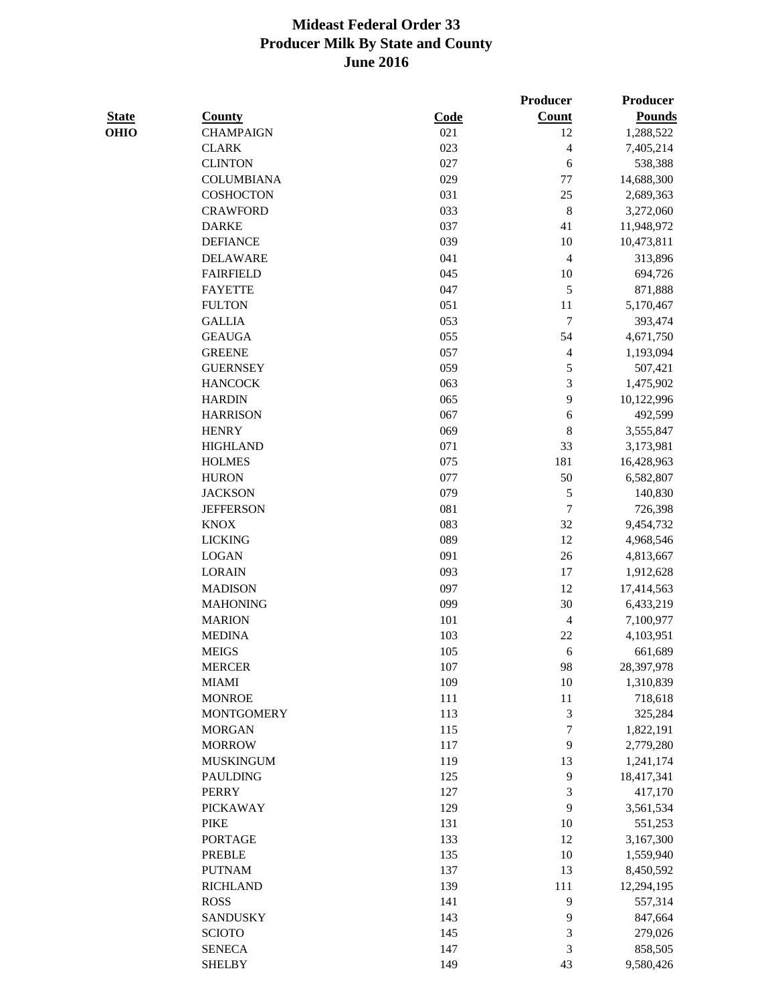**Producer Producer** 

| <b>State</b> | <b>County</b>     | Code | <b>Count</b>   | <b>Pounds</b> |
|--------------|-------------------|------|----------------|---------------|
| OHIO         | <b>CHAMPAIGN</b>  | 021  | 12             | 1,288,522     |
|              | <b>CLARK</b>      | 023  | 4              | 7,405,214     |
|              | <b>CLINTON</b>    | 027  | 6              | 538,388       |
|              | <b>COLUMBIANA</b> | 029  | 77             | 14,688,300    |
|              | COSHOCTON         | 031  | 25             | 2,689,363     |
|              | <b>CRAWFORD</b>   | 033  | $\,8\,$        | 3,272,060     |
|              | <b>DARKE</b>      | 037  | 41             | 11,948,972    |
|              | <b>DEFIANCE</b>   | 039  | $10\,$         | 10,473,811    |
|              | <b>DELAWARE</b>   | 041  | $\overline{4}$ | 313,896       |
|              | <b>FAIRFIELD</b>  | 045  | 10             | 694,726       |
|              | <b>FAYETTE</b>    | 047  | 5              | 871,888       |
|              | <b>FULTON</b>     | 051  | 11             | 5,170,467     |
|              | <b>GALLIA</b>     | 053  | $\overline{7}$ | 393,474       |
|              | <b>GEAUGA</b>     | 055  | 54             | 4,671,750     |
|              | <b>GREENE</b>     | 057  | 4              | 1,193,094     |
|              | <b>GUERNSEY</b>   | 059  | 5              | 507,421       |
|              | <b>HANCOCK</b>    | 063  | 3              | 1,475,902     |
|              | <b>HARDIN</b>     | 065  | 9              | 10,122,996    |
|              | <b>HARRISON</b>   | 067  | 6              | 492,599       |
|              | <b>HENRY</b>      | 069  | 8              | 3,555,847     |
|              | <b>HIGHLAND</b>   | 071  | 33             | 3,173,981     |
|              | <b>HOLMES</b>     | 075  | 181            | 16,428,963    |
|              | <b>HURON</b>      | 077  | 50             | 6,582,807     |
|              | <b>JACKSON</b>    | 079  | 5              | 140,830       |
|              | <b>JEFFERSON</b>  | 081  | 7              | 726,398       |
|              | <b>KNOX</b>       | 083  | 32             | 9,454,732     |
|              | <b>LICKING</b>    | 089  | 12             | 4,968,546     |
|              | <b>LOGAN</b>      | 091  | $26\,$         | 4,813,667     |
|              | <b>LORAIN</b>     | 093  | 17             | 1,912,628     |
|              | <b>MADISON</b>    | 097  | 12             | 17,414,563    |
|              | <b>MAHONING</b>   | 099  | 30             | 6,433,219     |
|              | <b>MARION</b>     | 101  | $\overline{4}$ | 7,100,977     |
|              | <b>MEDINA</b>     | 103  | $22\,$         | 4,103,951     |
|              | <b>MEIGS</b>      | 105  | 6              | 661,689       |
|              | <b>MERCER</b>     | 107  | 98             | 28,397,978    |
|              | <b>MIAMI</b>      | 109  | 10             | 1,310,839     |
|              | <b>MONROE</b>     | 111  | 11             | 718,618       |
|              | <b>MONTGOMERY</b> | 113  | 3              | 325,284       |
|              | <b>MORGAN</b>     | 115  | 7              | 1,822,191     |
|              | <b>MORROW</b>     | 117  | 9              | 2,779,280     |
|              | <b>MUSKINGUM</b>  | 119  | 13             | 1,241,174     |
|              | <b>PAULDING</b>   | 125  | 9              | 18,417,341    |
|              | <b>PERRY</b>      | 127  | 3              | 417,170       |
|              | <b>PICKAWAY</b>   | 129  | 9              | 3,561,534     |
|              | <b>PIKE</b>       | 131  | 10             | 551,253       |
|              | <b>PORTAGE</b>    | 133  | 12             | 3,167,300     |
|              | <b>PREBLE</b>     | 135  | 10             | 1,559,940     |
|              | <b>PUTNAM</b>     | 137  | 13             | 8,450,592     |
|              | <b>RICHLAND</b>   | 139  | 111            | 12,294,195    |
|              | <b>ROSS</b>       | 141  | 9              | 557,314       |
|              | <b>SANDUSKY</b>   | 143  | 9              | 847,664       |
|              | <b>SCIOTO</b>     | 145  | 3              | 279,026       |
|              |                   |      |                |               |

SENECA 147 3 858,505 SHELBY 149 43 9,580,426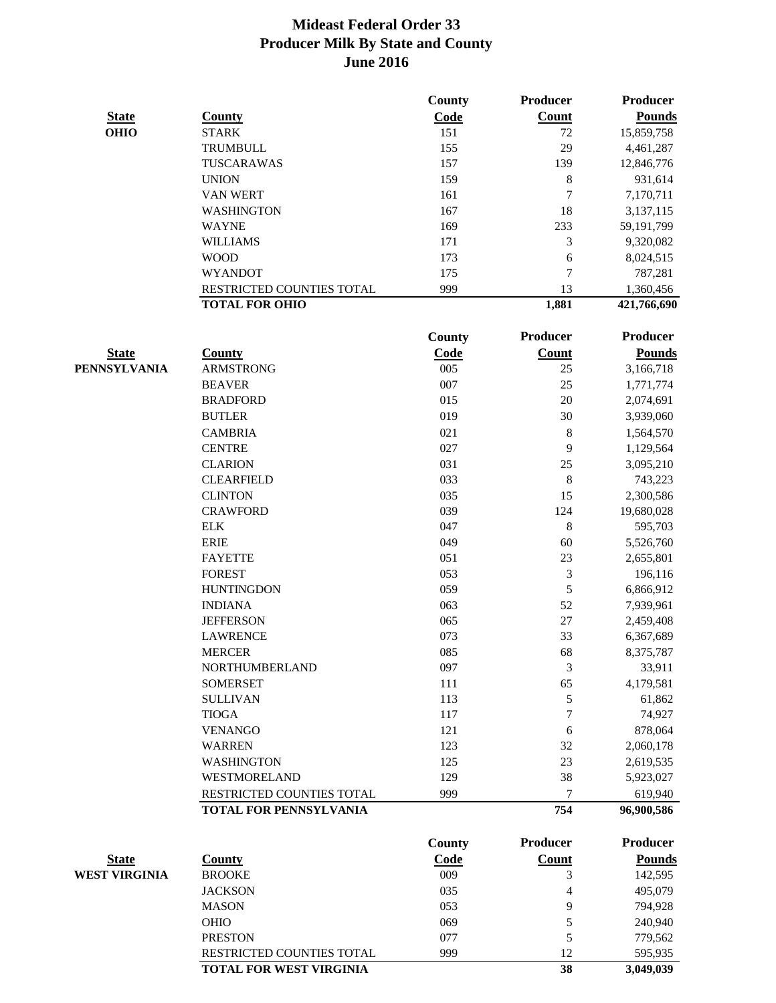|                      |                           | County        | Producer        | <b>Producer</b> |
|----------------------|---------------------------|---------------|-----------------|-----------------|
| <b>State</b>         | <b>County</b>             | Code          | Count           | <b>Pounds</b>   |
| <b>OHIO</b>          | <b>STARK</b>              | 151           | 72              | 15,859,758      |
|                      | TRUMBULL                  | 155           | 29              | 4,461,287       |
|                      | TUSCARAWAS                | 157           | 139             | 12,846,776      |
|                      | <b>UNION</b>              | 159           | 8               | 931,614         |
|                      | <b>VAN WERT</b>           | 161           | 7               | 7,170,711       |
|                      | <b>WASHINGTON</b>         | 167           | 18              | 3,137,115       |
|                      | <b>WAYNE</b>              | 169           | 233             | 59,191,799      |
|                      | <b>WILLIAMS</b>           | 171           | 3               | 9,320,082       |
|                      | <b>WOOD</b>               | 173           | 6               | 8,024,515       |
|                      | <b>WYANDOT</b>            | 175           | 7               | 787,281         |
|                      | RESTRICTED COUNTIES TOTAL | 999           | 13              | 1,360,456       |
|                      | <b>TOTAL FOR OHIO</b>     |               | 1,881           | 421,766,690     |
|                      |                           | <b>County</b> | <b>Producer</b> | <b>Producer</b> |
| <b>State</b>         | <b>County</b>             | Code          | <b>Count</b>    | <b>Pounds</b>   |
| <b>PENNSYLVANIA</b>  | <b>ARMSTRONG</b>          | 005           | 25              | 3,166,718       |
|                      | <b>BEAVER</b>             | 007           | 25              | 1,771,774       |
|                      | <b>BRADFORD</b>           | 015           | $20\,$          | 2,074,691       |
|                      | <b>BUTLER</b>             | 019           | 30              | 3,939,060       |
|                      | <b>CAMBRIA</b>            | 021           | 8               | 1,564,570       |
|                      | <b>CENTRE</b>             | 027           | 9               | 1,129,564       |
|                      | <b>CLARION</b>            | 031           | 25              | 3,095,210       |
|                      | <b>CLEARFIELD</b>         | 033           | $\,8\,$         | 743,223         |
|                      | <b>CLINTON</b>            | 035           | 15              | 2,300,586       |
|                      | <b>CRAWFORD</b>           | 039           | 124             | 19,680,028      |
|                      | <b>ELK</b>                | 047           | $\,8\,$         | 595,703         |
|                      | <b>ERIE</b>               | 049           | 60              | 5,526,760       |
|                      | <b>FAYETTE</b>            | 051           | 23              | 2,655,801       |
|                      | <b>FOREST</b>             | 053           | 3               | 196,116         |
|                      | <b>HUNTINGDON</b>         | 059           | 5               | 6,866,912       |
|                      | <b>INDIANA</b>            | 063           | 52              | 7,939,961       |
|                      | <b>JEFFERSON</b>          | 065           | $27\,$          | 2,459,408       |
|                      | <b>LAWRENCE</b>           | 073           | 33              | 6,367,689       |
|                      | <b>MERCER</b>             | 085           | 68              | 8,375,787       |
|                      | <b>NORTHUMBERLAND</b>     | 097           | 3               | 33,911          |
|                      | <b>SOMERSET</b>           | 111           | 65              | 4,179,581       |
|                      | <b>SULLIVAN</b>           | 113           | 5               | 61,862          |
|                      | <b>TIOGA</b>              | 117           | 7               | 74,927          |
|                      | <b>VENANGO</b>            | 121           | $\sqrt{6}$      | 878,064         |
|                      | <b>WARREN</b>             | 123           | 32              | 2,060,178       |
|                      | <b>WASHINGTON</b>         | 125           | 23              | 2,619,535       |
|                      | WESTMORELAND              | 129           | 38              | 5,923,027       |
|                      | RESTRICTED COUNTIES TOTAL | 999           | 7               | 619,940         |
|                      | TOTAL FOR PENNSYLVANIA    |               | 754             | 96,900,586      |
|                      |                           | County        | <b>Producer</b> | <b>Producer</b> |
| <b>State</b>         | <b>County</b>             | Code          | <b>Count</b>    | <b>Pounds</b>   |
| <b>WEST VIRGINIA</b> | <b>BROOKE</b>             | 009           | 3               | 142,595         |
|                      | <b>JACKSON</b>            | 035           | 4               | 495,079         |
|                      | <b>MASON</b>              | 053           | 9               | 794,928         |
|                      |                           |               |                 |                 |

OHIO 69 069 5 240,940 PRESTON 077 5 779,562

RESTRICTED COUNTIES TOTAL 999 12 595,935 **TOTAL FOR WEST VIRGINIA 38** 3,049,039